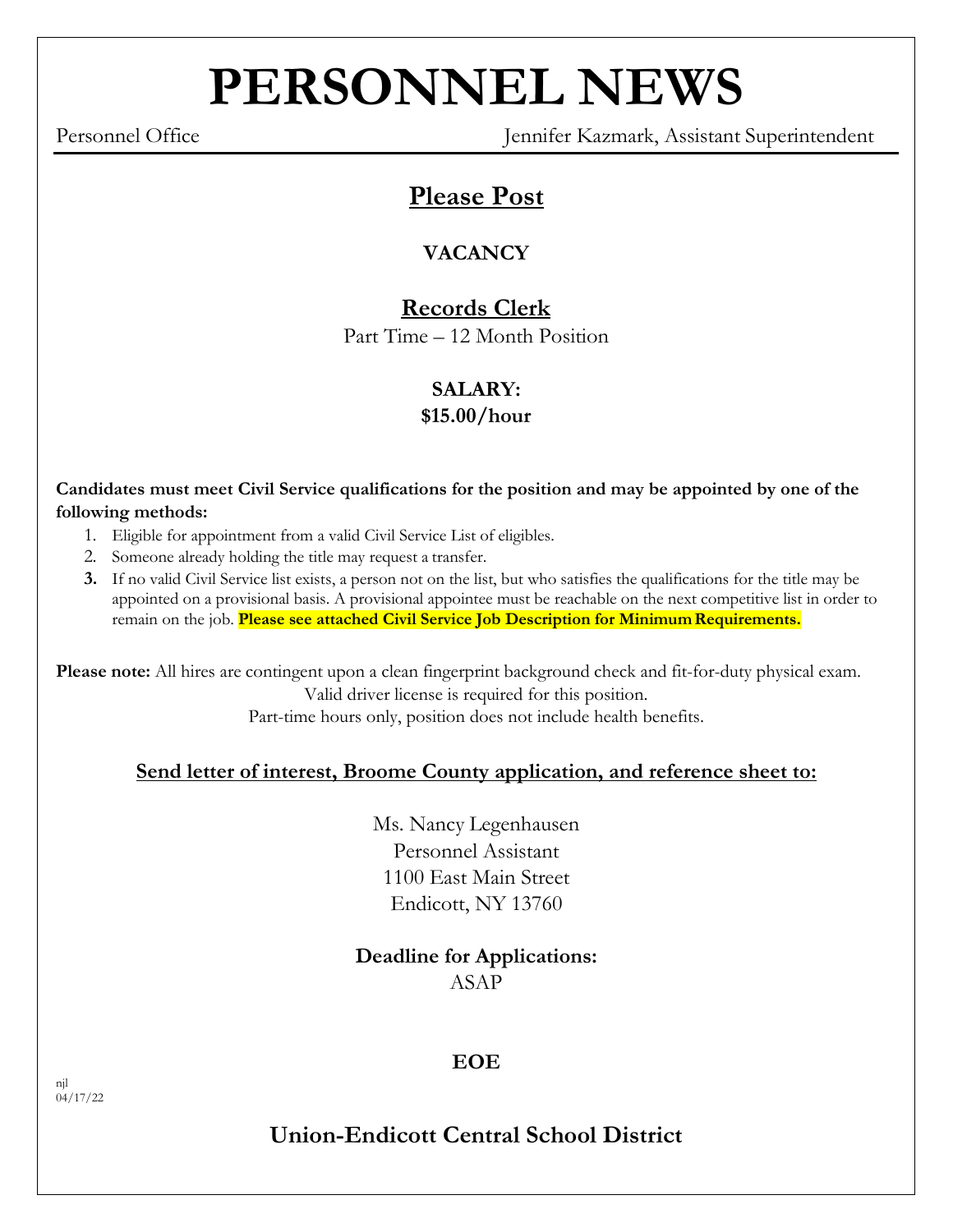# **PERSONNEL NEWS**

Personnel Office Jennifer Kazmark, Assistant Superintendent

# **Please Post**

# **VACANCY**

# **Records Clerk**

Part Time – 12 Month Position

# **SALARY:**

## **\$15.00/hour**

**Candidates must meet Civil Service qualifications for the position and may be appointed by one of the following methods:**

- 1. Eligible for appointment from a valid Civil Service List of eligibles.
- 2. Someone already holding the title may request a transfer.
- **3.** If no valid Civil Service list exists, a person not on the list, but who satisfies the qualifications for the title may be appointed on a provisional basis. A provisional appointee must be reachable on the next competitive list in order to remain on the job. **Please see attached Civil Service Job Description for Minimum Requirements.**

**Please note:** All hires are contingent upon a clean fingerprint background check and fit-for-duty physical exam. Valid driver license is required for this position.

Part-time hours only, position does not include health benefits.

## **Send letter of interest, Broome County application, and reference sheet to:**

Ms. Nancy Legenhausen Personnel Assistant 1100 East Main Street Endicott, NY 13760

## **Deadline for Applications:** ASAP

## **EOE**

# **Union-Endicott Central School District**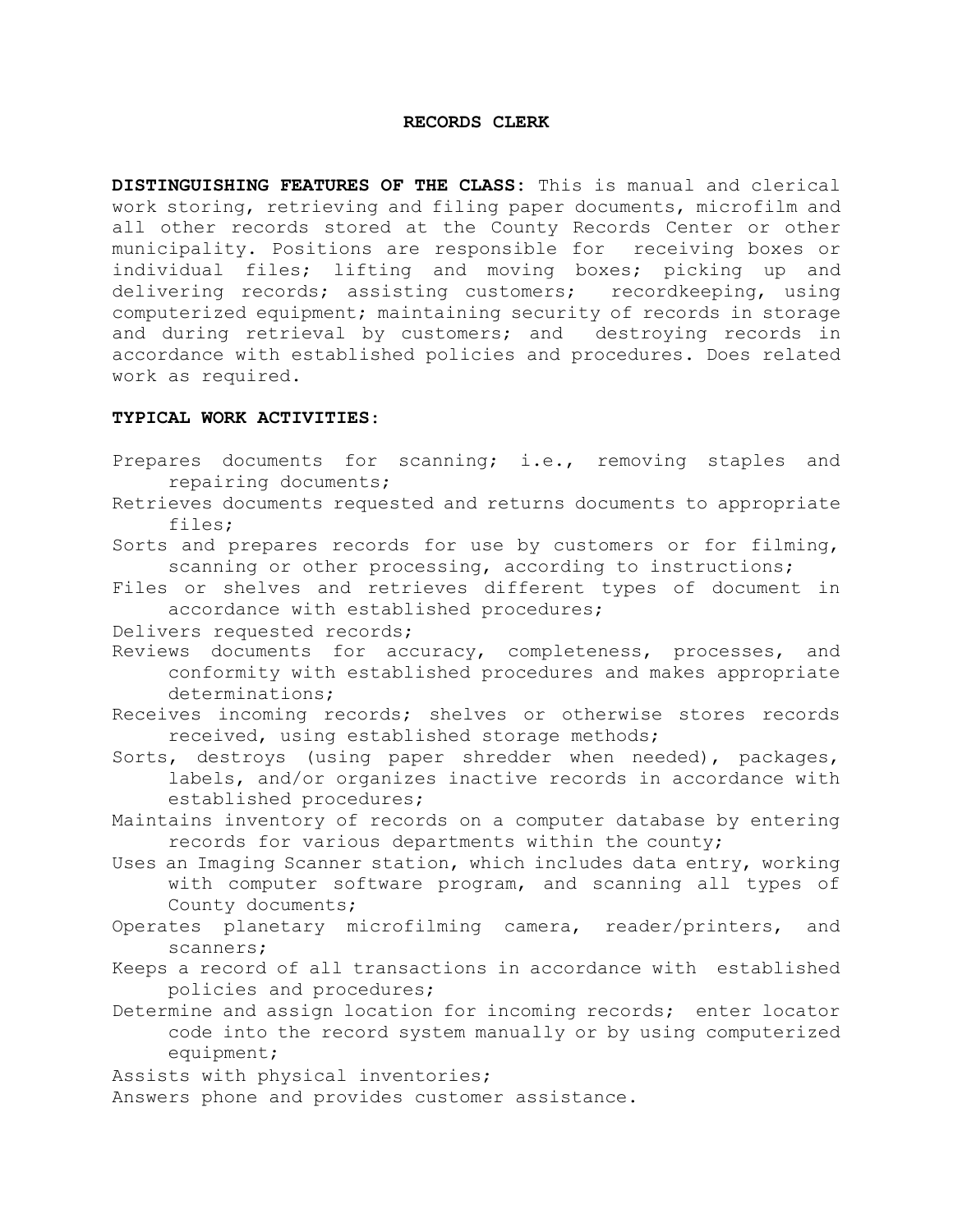#### **RECORDS CLERK**

**DISTINGUISHING FEATURES OF THE CLASS:** This is manual and clerical work storing, retrieving and filing paper documents, microfilm and all other records stored at the County Records Center or other municipality. Positions are responsible for receiving boxes or individual files; lifting and moving boxes; picking up and delivering records; assisting customers; recordkeeping, using computerized equipment; maintaining security of records in storage and during retrieval by customers; and destroying records in accordance with established policies and procedures. Does related work as required.

#### **TYPICAL WORK ACTIVITIES**:

- Prepares documents for scanning; i.e., removing staples and repairing documents;
- Retrieves documents requested and returns documents to appropriate files;
- Sorts and prepares records for use by customers or for filming, scanning or other processing, according to instructions;
- Files or shelves and retrieves different types of document in accordance with established procedures;
- Delivers requested records;
- Reviews documents for accuracy, completeness, processes, and conformity with established procedures and makes appropriate determinations;
- Receives incoming records; shelves or otherwise stores records received, using established storage methods;
- Sorts, destroys (using paper shredder when needed), packages, labels, and/or organizes inactive records in accordance with established procedures;
- Maintains inventory of records on a computer database by entering records for various departments within the county;
- Uses an Imaging Scanner station, which includes data entry, working with computer software program, and scanning all types of County documents;
- Operates planetary microfilming camera, reader/printers, and scanners;
- Keeps a record of all transactions in accordance with established policies and procedures;
- Determine and assign location for incoming records; enter locator code into the record system manually or by using computerized equipment;
- Assists with physical inventories;
- Answers phone and provides customer assistance.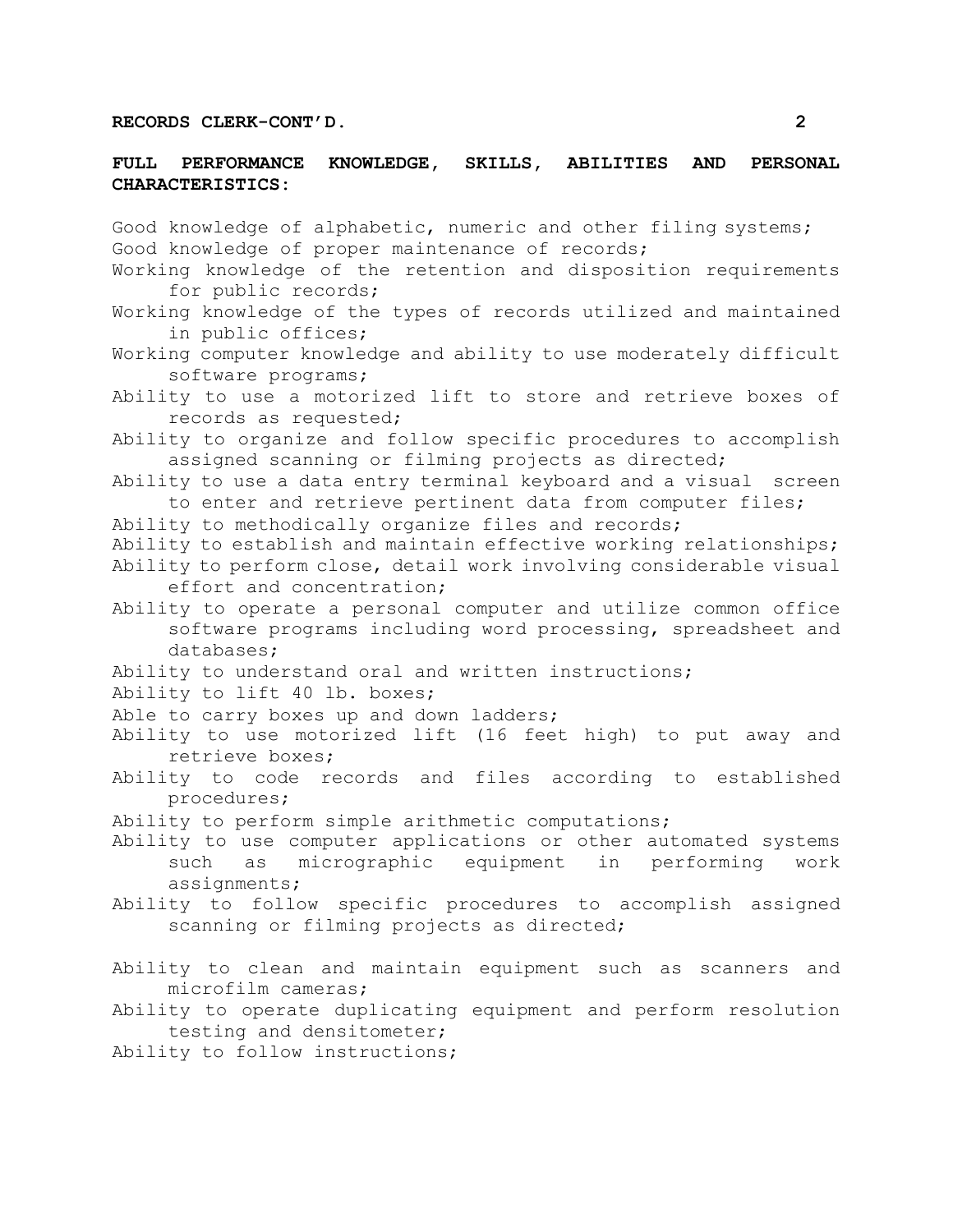#### **FULL PERFORMANCE KNOWLEDGE, SKILLS, ABILITIES AND PERSONAL CHARACTERISTICS:**

Good knowledge of alphabetic, numeric and other filing systems; Good knowledge of proper maintenance of records; Working knowledge of the retention and disposition requirements for public records; Working knowledge of the types of records utilized and maintained in public offices; Working computer knowledge and ability to use moderately difficult software programs; Ability to use a motorized lift to store and retrieve boxes of records as requested; Ability to organize and follow specific procedures to accomplish assigned scanning or filming projects as directed; Ability to use a data entry terminal keyboard and a visual screen to enter and retrieve pertinent data from computer files; Ability to methodically organize files and records; Ability to establish and maintain effective working relationships; Ability to perform close, detail work involving considerable visual effort and concentration; Ability to operate a personal computer and utilize common office software programs including word processing, spreadsheet and databases; Ability to understand oral and written instructions; Ability to lift 40 lb. boxes; Able to carry boxes up and down ladders; Ability to use motorized lift (16 feet high) to put away and retrieve boxes; Ability to code records and files according to established procedures; Ability to perform simple arithmetic computations; Ability to use computer applications or other automated systems such as micrographic equipment in performing work assignments; Ability to follow specific procedures to accomplish assigned scanning or filming projects as directed; Ability to clean and maintain equipment such as scanners and microfilm cameras; Ability to operate duplicating equipment and perform resolution testing and densitometer; Ability to follow instructions;